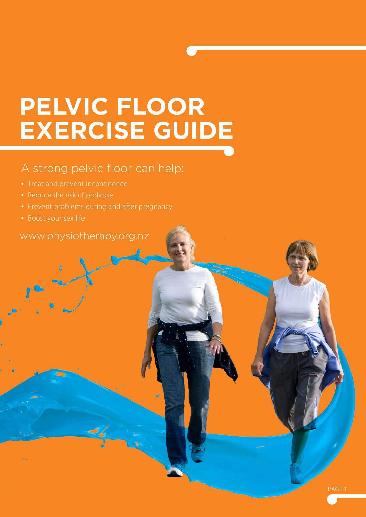# **PELVIC FLOOR EXERCISE GUIDE**

## A strong pelvic floor can help:

- 
- **•**  Reduce the risk of prolapse
- Prevent problems during and after pregnancy
- 

### www.physiotherapy.org.nz

PAGE 1